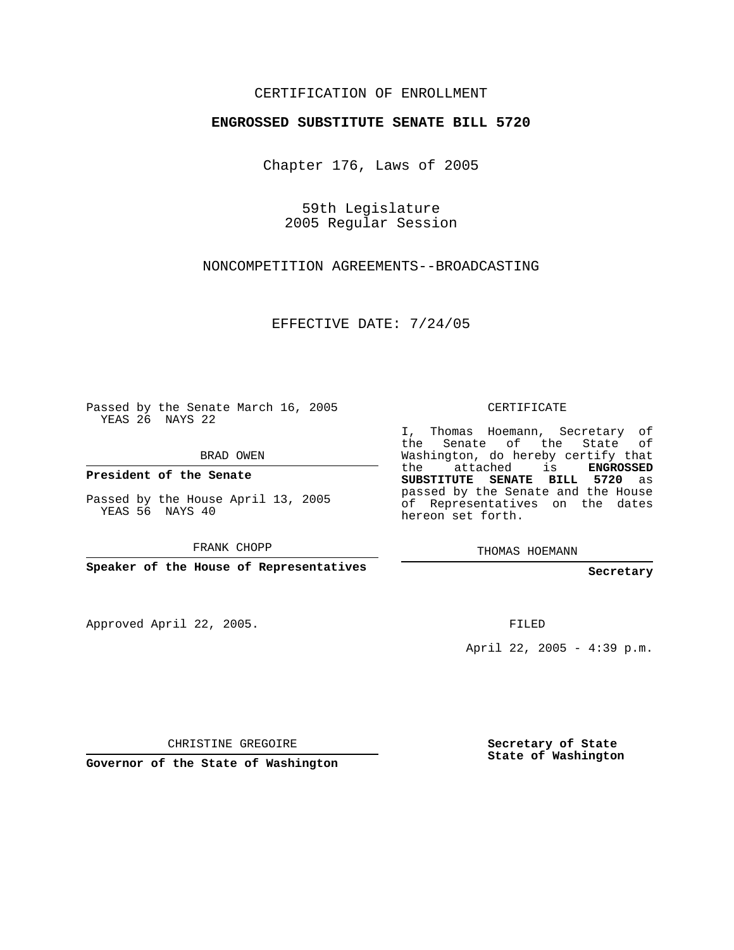## CERTIFICATION OF ENROLLMENT

## **ENGROSSED SUBSTITUTE SENATE BILL 5720**

Chapter 176, Laws of 2005

59th Legislature 2005 Regular Session

NONCOMPETITION AGREEMENTS--BROADCASTING

EFFECTIVE DATE: 7/24/05

Passed by the Senate March 16, 2005 YEAS 26 NAYS 22

BRAD OWEN

**President of the Senate**

Passed by the House April 13, 2005 YEAS 56 NAYS 40

FRANK CHOPP

**Speaker of the House of Representatives**

Approved April 22, 2005.

CERTIFICATE

I, Thomas Hoemann, Secretary of the Senate of the State of Washington, do hereby certify that the attached is **ENGROSSED SUBSTITUTE SENATE BILL 5720** as passed by the Senate and the House of Representatives on the dates hereon set forth.

THOMAS HOEMANN

**Secretary**

FILED

April 22, 2005 - 4:39 p.m.

CHRISTINE GREGOIRE

**Governor of the State of Washington**

**Secretary of State State of Washington**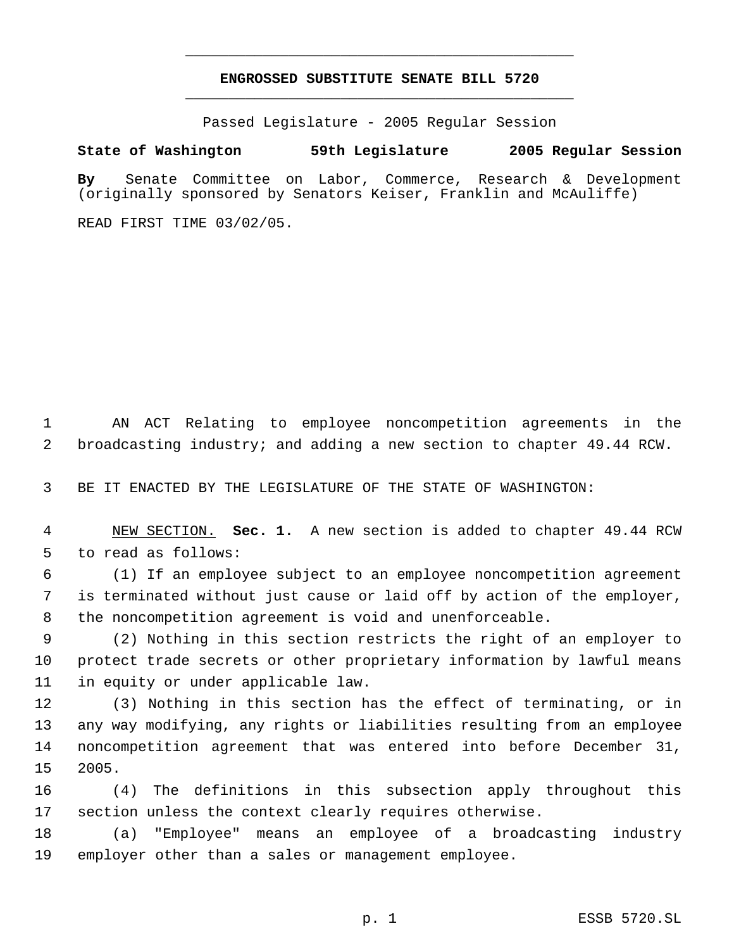## **ENGROSSED SUBSTITUTE SENATE BILL 5720** \_\_\_\_\_\_\_\_\_\_\_\_\_\_\_\_\_\_\_\_\_\_\_\_\_\_\_\_\_\_\_\_\_\_\_\_\_\_\_\_\_\_\_\_\_

\_\_\_\_\_\_\_\_\_\_\_\_\_\_\_\_\_\_\_\_\_\_\_\_\_\_\_\_\_\_\_\_\_\_\_\_\_\_\_\_\_\_\_\_\_

Passed Legislature - 2005 Regular Session

## **State of Washington 59th Legislature 2005 Regular Session**

**By** Senate Committee on Labor, Commerce, Research & Development (originally sponsored by Senators Keiser, Franklin and McAuliffe)

READ FIRST TIME 03/02/05.

 AN ACT Relating to employee noncompetition agreements in the broadcasting industry; and adding a new section to chapter 49.44 RCW.

BE IT ENACTED BY THE LEGISLATURE OF THE STATE OF WASHINGTON:

 NEW SECTION. **Sec. 1.** A new section is added to chapter 49.44 RCW to read as follows:

 (1) If an employee subject to an employee noncompetition agreement is terminated without just cause or laid off by action of the employer, the noncompetition agreement is void and unenforceable.

 (2) Nothing in this section restricts the right of an employer to protect trade secrets or other proprietary information by lawful means in equity or under applicable law.

 (3) Nothing in this section has the effect of terminating, or in any way modifying, any rights or liabilities resulting from an employee noncompetition agreement that was entered into before December 31, 2005.

 (4) The definitions in this subsection apply throughout this section unless the context clearly requires otherwise.

 (a) "Employee" means an employee of a broadcasting industry employer other than a sales or management employee.